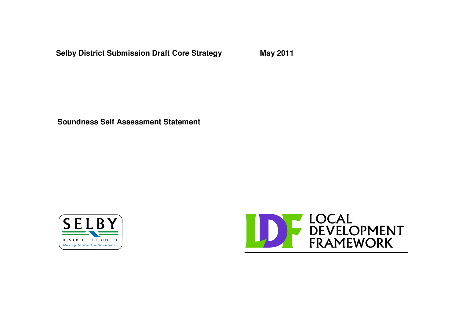**Selby District Submission Draft Core Strategy May 2011**

**Soundness Self Assessment Statement**



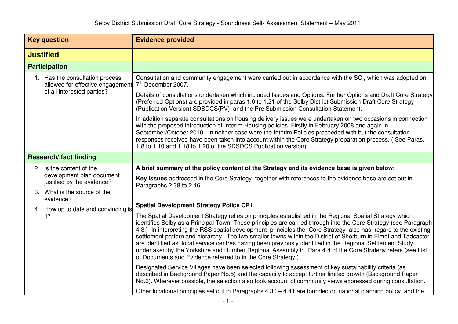| <b>Key question</b>                                                 | <b>Evidence provided</b>                                                                                                                                                                                                                                                                                                                                                                                                                                                                                                                                                                                                                                                                                                                                       |
|---------------------------------------------------------------------|----------------------------------------------------------------------------------------------------------------------------------------------------------------------------------------------------------------------------------------------------------------------------------------------------------------------------------------------------------------------------------------------------------------------------------------------------------------------------------------------------------------------------------------------------------------------------------------------------------------------------------------------------------------------------------------------------------------------------------------------------------------|
| <b>Justified</b>                                                    |                                                                                                                                                                                                                                                                                                                                                                                                                                                                                                                                                                                                                                                                                                                                                                |
| <b>Participation</b>                                                |                                                                                                                                                                                                                                                                                                                                                                                                                                                                                                                                                                                                                                                                                                                                                                |
| 1. Has the consultation process<br>allowed for effective engagement | Consultation and community engagement were carried out in accordance with the SCI, which was adopted on<br>7 <sup>th</sup> December 2007.                                                                                                                                                                                                                                                                                                                                                                                                                                                                                                                                                                                                                      |
| of all interested parties?                                          | Details of consultations undertaken which included Issues and Options, Further Options and Draft Core Strategy<br>(Preferred Options) are provided in paras 1.6 to 1.21 of the Selby District Submission Draft Core Strategy<br>(Publication Version) SDSDCS(PV) and the Pre Submission Consultation Statement.                                                                                                                                                                                                                                                                                                                                                                                                                                                |
|                                                                     | In addition separate consultations on housing delivery issues were undertaken on two occasions in connection<br>with the proposed introduction of Interim Housing policies. Firstly in February 2008 and again in<br>September/October 2010. In neither case were the Interim Policies proceeded with but the consultation<br>responses received have been taken into account within the Core Strategy preparation process. (See Paras.<br>1.8 to 1.10 and 1.18 to 1.20 of the SDSDCS Publication version)                                                                                                                                                                                                                                                     |
| <b>Research/fact finding</b>                                        |                                                                                                                                                                                                                                                                                                                                                                                                                                                                                                                                                                                                                                                                                                                                                                |
| 2. Is the content of the                                            | A brief summary of the policy content of the Strategy and its evidence base is given below:                                                                                                                                                                                                                                                                                                                                                                                                                                                                                                                                                                                                                                                                    |
| development plan document<br>justified by the evidence?             | Key issues addressed in the Core Strategy, together with references to the evidence base are set out in<br>Paragraphs 2.38 to 2.46.                                                                                                                                                                                                                                                                                                                                                                                                                                                                                                                                                                                                                            |
| 3. What is the source of the<br>evidence?                           |                                                                                                                                                                                                                                                                                                                                                                                                                                                                                                                                                                                                                                                                                                                                                                |
| 4. How up to date and convincing is                                 | <b>Spatial Development Strategy Policy CP1</b>                                                                                                                                                                                                                                                                                                                                                                                                                                                                                                                                                                                                                                                                                                                 |
| it?                                                                 | The Spatial Development Strategy relies on principles established in the Regional Spatial Strategy which<br>identifies Selby as a Principal Town. These principles are carried through into the Core Strategy (see Paragraph<br>4.3.) In interpreting the RSS spatial development principles the Core Strategy also has regard to the existing<br>settlement pattern and hierarchy. The two smaller towns within the District of Sherburn in Elmet and Tadcaster<br>are identified as local service centres having been previously identified in the Regional Settlement Study<br>undertaken by the Yorkshire and Humber Regional Assembly in. Para 4.4 of the Core Strategy refers. (see List<br>of Documents and Evidence referred to in the Core Strategy). |
|                                                                     | Designated Service Villages have been selected following assessment of key sustainability criteria (as<br>described in Background Paper No.5) and the capacity to accept further limited growth (Background Paper<br>No.6). Wherever possible, the selection also took account of community views expressed during consultation.                                                                                                                                                                                                                                                                                                                                                                                                                               |
|                                                                     | Other locational principles set out in Paragraphs 4.30 - 4.41 are founded on national planning policy, and the                                                                                                                                                                                                                                                                                                                                                                                                                                                                                                                                                                                                                                                 |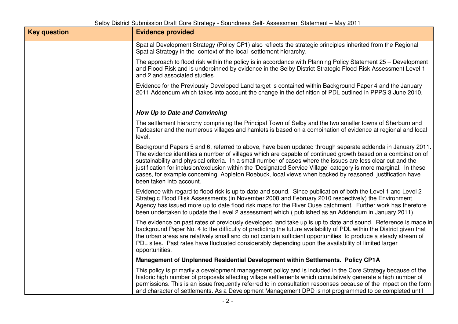| <b>Key question</b> | <b>Evidence provided</b>                                                                                                                                                                                                                                                                                                                                                                                                                                                                                                                                                                             |
|---------------------|------------------------------------------------------------------------------------------------------------------------------------------------------------------------------------------------------------------------------------------------------------------------------------------------------------------------------------------------------------------------------------------------------------------------------------------------------------------------------------------------------------------------------------------------------------------------------------------------------|
|                     | Spatial Development Strategy (Policy CP1) also reflects the strategic principles inherited from the Regional<br>Spatial Strategy in the context of the local settlement hierarchy.                                                                                                                                                                                                                                                                                                                                                                                                                   |
|                     | The approach to flood risk within the policy is in accordance with Planning Policy Statement 25 – Development<br>and Flood Risk and is underpinned by evidence in the Selby District Strategic Flood Risk Assessment Level 1<br>and 2 and associated studies.                                                                                                                                                                                                                                                                                                                                        |
|                     | Evidence for the Previously Developed Land target is contained within Background Paper 4 and the January<br>2011 Addendum which takes into account the change in the definition of PDL outlined in PPPS 3 June 2010.                                                                                                                                                                                                                                                                                                                                                                                 |
|                     | How Up to Date and Convincing                                                                                                                                                                                                                                                                                                                                                                                                                                                                                                                                                                        |
|                     | The settlement hierarchy comprising the Principal Town of Selby and the two smaller towns of Sherburn and<br>Tadcaster and the numerous villages and hamlets is based on a combination of evidence at regional and local<br>level.                                                                                                                                                                                                                                                                                                                                                                   |
|                     | Background Papers 5 and 6, referred to above, have been updated through separate addenda in January 2011.<br>The evidence identifies a number of villages which are capable of continued growth based on a combination of<br>sustainability and physical criteria. In a small number of cases where the issues are less clear cut and the<br>justification for inclusion/exclusion within the 'Designated Service Village' category is more marginal. In these<br>cases, for example concerning Appleton Roebuck, local views when backed by reasoned justification have<br>been taken into account. |
|                     | Evidence with regard to flood risk is up to date and sound. Since publication of both the Level 1 and Level 2<br>Strategic Flood Risk Assessments (in November 2008 and February 2010 respectively) the Environment<br>Agency has issued more up to date flood risk maps for the River Ouse catchment. Further work has therefore<br>been undertaken to update the Level 2 assessment which (published as an Addendum in January 2011).                                                                                                                                                              |
|                     | The evidence on past rates of previously developed land take up is up to date and sound. Reference is made in<br>background Paper No. 4 to the difficulty of predicting the future availability of PDL within the District given that<br>the urban areas are relatively small and do not contain sufficient opportunities to produce a steady stream of<br>PDL sites. Past rates have fluctuated considerably depending upon the availability of limited larger<br>opportunities.                                                                                                                    |
|                     | Management of Unplanned Residential Development within Settlements. Policy CP1A                                                                                                                                                                                                                                                                                                                                                                                                                                                                                                                      |
|                     | This policy is primarily a development management policy and is included in the Core Strategy because of the<br>historic high number of proposals affecting village settlements which cumulatively generate a high number of<br>permissions. This is an issue frequently referred to in consultation responses because of the impact on the form<br>and character of settlements. As a Development Management DPD is not programmed to be completed until                                                                                                                                            |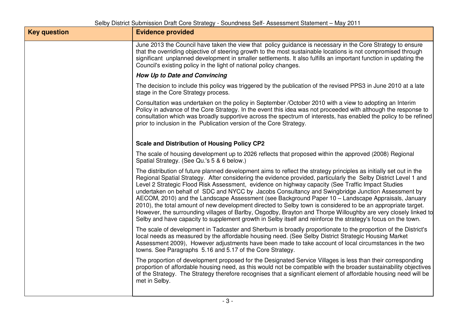| <b>Key question</b> | <b>Evidence provided</b>                                                                                                                                                                                                                                                                                                                                                                                                                                                                                                                                                                                                                                                                                                                                                                                                                                                                                |
|---------------------|---------------------------------------------------------------------------------------------------------------------------------------------------------------------------------------------------------------------------------------------------------------------------------------------------------------------------------------------------------------------------------------------------------------------------------------------------------------------------------------------------------------------------------------------------------------------------------------------------------------------------------------------------------------------------------------------------------------------------------------------------------------------------------------------------------------------------------------------------------------------------------------------------------|
|                     | June 2013 the Council have taken the view that policy guidance is necessary in the Core Strategy to ensure<br>that the overriding objective of steering growth to the most sustainable locations is not compromised through<br>significant unplanned development in smaller settlements. It also fulfills an important function in updating the<br>Council's existing policy in the light of national policy changes.                                                                                                                                                                                                                                                                                                                                                                                                                                                                                   |
|                     | How Up to Date and Convincing                                                                                                                                                                                                                                                                                                                                                                                                                                                                                                                                                                                                                                                                                                                                                                                                                                                                           |
|                     | The decision to include this policy was triggered by the publication of the revised PPS3 in June 2010 at a late<br>stage in the Core Strategy process.                                                                                                                                                                                                                                                                                                                                                                                                                                                                                                                                                                                                                                                                                                                                                  |
|                     | Consultation was undertaken on the policy in September /October 2010 with a view to adopting an Interim<br>Policy in advance of the Core Strategy. In the event this idea was not proceeded with although the response to<br>consultation which was broadly supportive across the spectrum of interests, has enabled the policy to be refined<br>prior to inclusion in the Publication version of the Core Strategy.                                                                                                                                                                                                                                                                                                                                                                                                                                                                                    |
|                     | <b>Scale and Distribution of Housing Policy CP2</b>                                                                                                                                                                                                                                                                                                                                                                                                                                                                                                                                                                                                                                                                                                                                                                                                                                                     |
|                     | The scale of housing development up to 2026 reflects that proposed within the approved (2008) Regional<br>Spatial Strategy. (See Qu.'s 5 & 6 below.)                                                                                                                                                                                                                                                                                                                                                                                                                                                                                                                                                                                                                                                                                                                                                    |
|                     | The distribution of future planned development aims to reflect the strategy principles as initially set out in the<br>Regional Spatial Strategy. After considering the evidence provided, particularly the Selby District Level 1 and<br>Level 2 Strategic Flood Risk Assessment, evidence on highway capacity (See Traffic Impact Studies<br>undertaken on behalf of SDC and NYCC by Jacobs Consultancy and Swingbridge Junction Assessment by<br>AECOM, 2010) and the Landscape Assessment (see Background Paper 10 - Landscape Appraisals, January<br>2010), the total amount of new development directed to Selby town is considered to be an appropriate target.<br>However, the surrounding villages of Barlby, Osgodby, Brayton and Thorpe Willoughby are very closely linked to<br>Selby and have capacity to supplement growth in Selby itself and reinforce the strategy's focus on the town. |
|                     | The scale of development in Tadcaster and Sherburn is broadly proportionate to the proportion of the District's<br>local needs as measured by the affordable housing need. (See Selby District Strategic Housing Market<br>Assessment 2009), However adjustments have been made to take account of local circumstances in the two<br>towns. See Paragraphs 5.16 and 5.17 of the Core Strategy.                                                                                                                                                                                                                                                                                                                                                                                                                                                                                                          |
|                     | The proportion of development proposed for the Designated Service Villages is less than their corresponding<br>proportion of affordable housing need, as this would not be compatible with the broader sustainability objectives<br>of the Strategy. The Strategy therefore recognises that a significant element of affordable housing need will be<br>met in Selby.                                                                                                                                                                                                                                                                                                                                                                                                                                                                                                                                   |
|                     |                                                                                                                                                                                                                                                                                                                                                                                                                                                                                                                                                                                                                                                                                                                                                                                                                                                                                                         |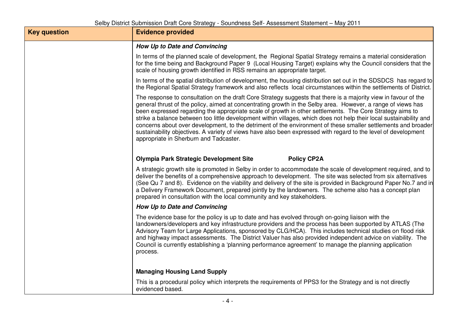| <b>Key question</b> | <b>Evidence provided</b>                                                                                                                                                                                                                                                                                                                                                                                                                                                                                                                                                                                                                                                                                                                        |
|---------------------|-------------------------------------------------------------------------------------------------------------------------------------------------------------------------------------------------------------------------------------------------------------------------------------------------------------------------------------------------------------------------------------------------------------------------------------------------------------------------------------------------------------------------------------------------------------------------------------------------------------------------------------------------------------------------------------------------------------------------------------------------|
|                     | How Up to Date and Convincing                                                                                                                                                                                                                                                                                                                                                                                                                                                                                                                                                                                                                                                                                                                   |
|                     | In terms of the planned scale of development, the Regional Spatial Strategy remains a material consideration<br>for the time being and Background Paper 9 (Local Housing Target) explains why the Council considers that the<br>scale of housing growth identified in RSS remains an appropriate target.                                                                                                                                                                                                                                                                                                                                                                                                                                        |
|                     | In terms of the spatial distribution of development, the housing distribution set out in the SDSDCS has regard to<br>the Regional Spatial Strategy framework and also reflects local circumstances within the settlements of District.                                                                                                                                                                                                                                                                                                                                                                                                                                                                                                          |
|                     | The response to consultation on the draft Core Strategy suggests that there is a majority view in favour of the<br>general thrust of the policy, aimed at concentrating growth in the Selby area. However, a range of views has<br>been expressed regarding the appropriate scale of growth in other settlements. The Core Strategy aims to<br>strike a balance between too little development within villages, which does not help their local sustainability and<br>concerns about over development, to the detriment of the environment of these smaller settlements and broader<br>sustainability objectives. A variety of views have also been expressed with regard to the level of development<br>appropriate in Sherburn and Tadcaster. |
|                     | <b>Policy CP2A</b><br><b>Olympia Park Strategic Development Site</b>                                                                                                                                                                                                                                                                                                                                                                                                                                                                                                                                                                                                                                                                            |
|                     | A strategic growth site is promoted in Selby in order to accommodate the scale of development required, and to<br>deliver the benefits of a comprehensive approach to development. The site was selected from six alternatives<br>(See Qu 7 and 8). Evidence on the viability and delivery of the site is provided in Background Paper No.7 and in<br>a Delivery Framework Document, prepared jointly by the landowners. The scheme also has a concept plan<br>prepared in consultation with the local community and key stakeholders.                                                                                                                                                                                                          |
|                     | How Up to Date and Convincing                                                                                                                                                                                                                                                                                                                                                                                                                                                                                                                                                                                                                                                                                                                   |
|                     | The evidence base for the policy is up to date and has evolved through on-going liaison with the<br>landowners/developers and key infrastructure providers and the process has been supported by ATLAS (The<br>Advisory Team for Large Applications, sponsored by CLG/HCA). This includes technical studies on flood risk<br>and highway impact assessments. The District Valuer has also provided independent advice on viability. The<br>Council is currently establishing a 'planning performance agreement' to manage the planning application<br>process.                                                                                                                                                                                  |
|                     | <b>Managing Housing Land Supply</b>                                                                                                                                                                                                                                                                                                                                                                                                                                                                                                                                                                                                                                                                                                             |
|                     | This is a procedural policy which interprets the requirements of PPS3 for the Strategy and is not directly<br>evidenced based.                                                                                                                                                                                                                                                                                                                                                                                                                                                                                                                                                                                                                  |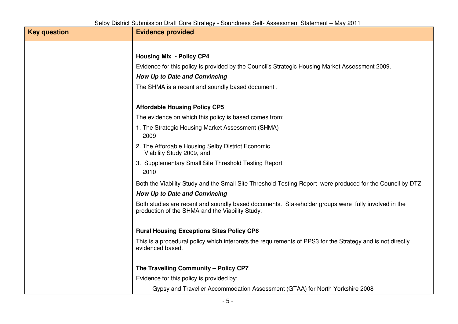| <b>Key question</b> | <b>Evidence provided</b>                                                                                                                              |
|---------------------|-------------------------------------------------------------------------------------------------------------------------------------------------------|
|                     |                                                                                                                                                       |
|                     | <b>Housing Mix - Policy CP4</b>                                                                                                                       |
|                     | Evidence for this policy is provided by the Council's Strategic Housing Market Assessment 2009.                                                       |
|                     | How Up to Date and Convincing                                                                                                                         |
|                     | The SHMA is a recent and soundly based document.                                                                                                      |
|                     | <b>Affordable Housing Policy CP5</b>                                                                                                                  |
|                     | The evidence on which this policy is based comes from:                                                                                                |
|                     | 1. The Strategic Housing Market Assessment (SHMA)<br>2009                                                                                             |
|                     | 2. The Affordable Housing Selby District Economic<br>Viability Study 2009, and                                                                        |
|                     | 3. Supplementary Small Site Threshold Testing Report<br>2010                                                                                          |
|                     | Both the Viability Study and the Small Site Threshold Testing Report were produced for the Council by DTZ                                             |
|                     | How Up to Date and Convincing                                                                                                                         |
|                     | Both studies are recent and soundly based documents. Stakeholder groups were fully involved in the<br>production of the SHMA and the Viability Study. |
|                     | <b>Rural Housing Exceptions Sites Policy CP6</b>                                                                                                      |
|                     | This is a procedural policy which interprets the requirements of PPS3 for the Strategy and is not directly<br>evidenced based.                        |
|                     | The Travelling Community - Policy CP7                                                                                                                 |
|                     | Evidence for this policy is provided by:                                                                                                              |
|                     | Gypsy and Traveller Accommodation Assessment (GTAA) for North Yorkshire 2008                                                                          |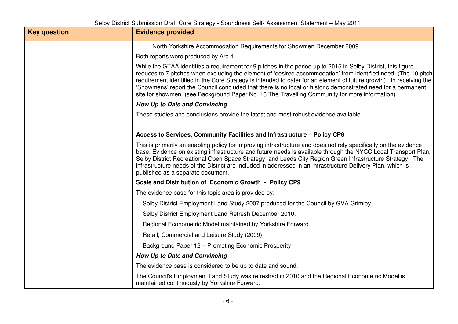| <b>Key question</b> | <b>Evidence provided</b>                                                                                                                                                                                                                                                                                                                                                                                                                                                                                                                                                 |
|---------------------|--------------------------------------------------------------------------------------------------------------------------------------------------------------------------------------------------------------------------------------------------------------------------------------------------------------------------------------------------------------------------------------------------------------------------------------------------------------------------------------------------------------------------------------------------------------------------|
|                     | North Yorkshire Accommodation Requirements for Showmen December 2009.                                                                                                                                                                                                                                                                                                                                                                                                                                                                                                    |
|                     | Both reports were produced by Arc 4                                                                                                                                                                                                                                                                                                                                                                                                                                                                                                                                      |
|                     | While the GTAA identifies a requirement for 9 pitches in the period up to 2015 in Selby District, this figure<br>reduces to 7 pitches when excluding the element of 'desired accommodation' from identified need. (The 10 pitch<br>requirement identified in the Core Strategy is intended to cater for an element of future growth). In receiving the<br>'Showmens' report the Council concluded that there is no local or historic demonstrated need for a permanent<br>site for showmen. (see Background Paper No. 13 The Travelling Community for more information). |
|                     | How Up to Date and Convincing                                                                                                                                                                                                                                                                                                                                                                                                                                                                                                                                            |
|                     | These studies and conclusions provide the latest and most robust evidence available.                                                                                                                                                                                                                                                                                                                                                                                                                                                                                     |
|                     | Access to Services, Community Facilities and Infrastructure - Policy CP8                                                                                                                                                                                                                                                                                                                                                                                                                                                                                                 |
|                     | This is primarily an enabling policy for improving infrastructure and does not rely specifically on the evidence<br>base. Evidence on existing infrastructure and future needs is available through the NYCC Local Transport Plan,<br>Selby District Recreational Open Space Strategy and Leeds City Region Green Infrastructure Strategy. The<br>infrastructure needs of the District are included in addressed in an Infrastructure Delivery Plan, which is<br>published as a separate document.                                                                       |
|                     | Scale and Distribution of Economic Growth - Policy CP9                                                                                                                                                                                                                                                                                                                                                                                                                                                                                                                   |
|                     | The evidence base for this topic area is provided by:                                                                                                                                                                                                                                                                                                                                                                                                                                                                                                                    |
|                     | Selby District Employment Land Study 2007 produced for the Council by GVA Grimley                                                                                                                                                                                                                                                                                                                                                                                                                                                                                        |
|                     | Selby District Employment Land Refresh December 2010.                                                                                                                                                                                                                                                                                                                                                                                                                                                                                                                    |
|                     | Regional Econometric Model maintained by Yorkshire Forward.                                                                                                                                                                                                                                                                                                                                                                                                                                                                                                              |
|                     | Retail, Commercial and Leisure Study (2009)                                                                                                                                                                                                                                                                                                                                                                                                                                                                                                                              |
|                     | Background Paper 12 - Promoting Economic Prosperity                                                                                                                                                                                                                                                                                                                                                                                                                                                                                                                      |
|                     | How Up to Date and Convincing                                                                                                                                                                                                                                                                                                                                                                                                                                                                                                                                            |
|                     | The evidence base is considered to be up to date and sound.                                                                                                                                                                                                                                                                                                                                                                                                                                                                                                              |
|                     | The Council's Employment Land Study was refreshed in 2010 and the Regional Econometric Model is<br>maintained continuously by Yorkshire Forward.                                                                                                                                                                                                                                                                                                                                                                                                                         |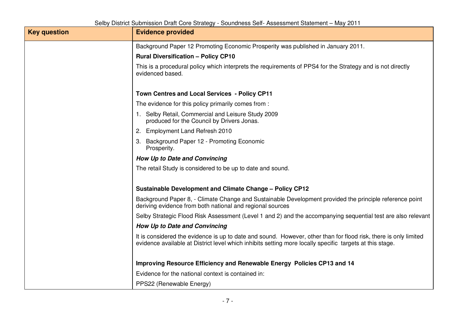| <b>Key question</b> | <b>Evidence provided</b>                                                                                                                                                                                                     |
|---------------------|------------------------------------------------------------------------------------------------------------------------------------------------------------------------------------------------------------------------------|
|                     | Background Paper 12 Promoting Economic Prosperity was published in January 2011.                                                                                                                                             |
|                     | <b>Rural Diversification - Policy CP10</b>                                                                                                                                                                                   |
|                     | This is a procedural policy which interprets the requirements of PPS4 for the Strategy and is not directly<br>evidenced based.                                                                                               |
|                     | <b>Town Centres and Local Services - Policy CP11</b>                                                                                                                                                                         |
|                     | The evidence for this policy primarily comes from :                                                                                                                                                                          |
|                     | 1. Selby Retail, Commercial and Leisure Study 2009<br>produced for the Council by Drivers Jonas.                                                                                                                             |
|                     | <b>Employment Land Refresh 2010</b><br>2.                                                                                                                                                                                    |
|                     | 3. Background Paper 12 - Promoting Economic<br>Prosperity.                                                                                                                                                                   |
|                     | How Up to Date and Convincing                                                                                                                                                                                                |
|                     | The retail Study is considered to be up to date and sound.                                                                                                                                                                   |
|                     | <b>Sustainable Development and Climate Change - Policy CP12</b>                                                                                                                                                              |
|                     | Background Paper 8, - Climate Change and Sustainable Development provided the principle reference point<br>deriving evidence from both national and regional sources                                                         |
|                     | Selby Strategic Flood Risk Assessment (Level 1 and 2) and the accompanying sequential test are also relevant                                                                                                                 |
|                     | How Up to Date and Convincing                                                                                                                                                                                                |
|                     | It is considered the evidence is up to date and sound. However, other than for flood risk, there is only limited<br>evidence available at District level which inhibits setting more locally specific targets at this stage. |
|                     | Improving Resource Efficiency and Renewable Energy Policies CP13 and 14                                                                                                                                                      |
|                     | Evidence for the national context is contained in:                                                                                                                                                                           |
|                     | PPS22 (Renewable Energy)                                                                                                                                                                                                     |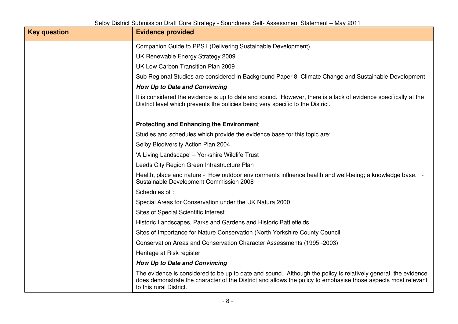| <b>Key question</b> | <b>Evidence provided</b>                                                                                                                                                                                                                                   |
|---------------------|------------------------------------------------------------------------------------------------------------------------------------------------------------------------------------------------------------------------------------------------------------|
|                     | Companion Guide to PPS1 (Delivering Sustainable Development)                                                                                                                                                                                               |
|                     | UK Renewable Energy Strategy 2009                                                                                                                                                                                                                          |
|                     | UK Low Carbon Transition Plan 2009                                                                                                                                                                                                                         |
|                     | Sub Regional Studies are considered in Background Paper 8 Climate Change and Sustainable Development                                                                                                                                                       |
|                     | How Up to Date and Convincing                                                                                                                                                                                                                              |
|                     | It is considered the evidence is up to date and sound. However, there is a lack of evidence specifically at the<br>District level which prevents the policies being very specific to the District.                                                         |
|                     | <b>Protecting and Enhancing the Environment</b>                                                                                                                                                                                                            |
|                     | Studies and schedules which provide the evidence base for this topic are:                                                                                                                                                                                  |
|                     | Selby Biodiversity Action Plan 2004                                                                                                                                                                                                                        |
|                     | 'A Living Landscape' - Yorkshire Wildlife Trust                                                                                                                                                                                                            |
|                     | Leeds City Region Green Infrastructure Plan                                                                                                                                                                                                                |
|                     | Health, place and nature - How outdoor environments influence health and well-being; a knowledge base. -<br>Sustainable Development Commission 2008                                                                                                        |
|                     | Schedules of:                                                                                                                                                                                                                                              |
|                     | Special Areas for Conservation under the UK Natura 2000                                                                                                                                                                                                    |
|                     | Sites of Special Scientific Interest                                                                                                                                                                                                                       |
|                     | Historic Landscapes, Parks and Gardens and Historic Battlefields                                                                                                                                                                                           |
|                     | Sites of Importance for Nature Conservation (North Yorkshire County Council                                                                                                                                                                                |
|                     | Conservation Areas and Conservation Character Assessments (1995 -2003)                                                                                                                                                                                     |
|                     | Heritage at Risk register                                                                                                                                                                                                                                  |
|                     | How Up to Date and Convincing                                                                                                                                                                                                                              |
|                     | The evidence is considered to be up to date and sound. Although the policy is relatively general, the evidence<br>does demonstrate the character of the District and allows the policy to emphasise those aspects most relevant<br>to this rural District. |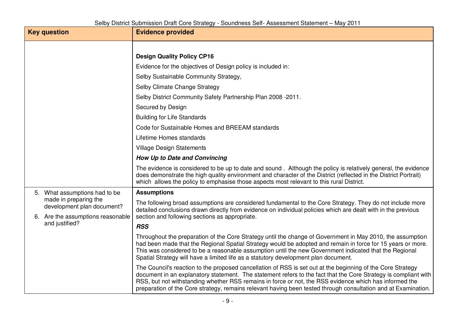|  | <b>Key question</b>                                 | <b>Evidence provided</b>                                                                                                                                                                                                                                                                                                                                                                                                                                   |
|--|-----------------------------------------------------|------------------------------------------------------------------------------------------------------------------------------------------------------------------------------------------------------------------------------------------------------------------------------------------------------------------------------------------------------------------------------------------------------------------------------------------------------------|
|  |                                                     | <b>Design Quality Policy CP16</b>                                                                                                                                                                                                                                                                                                                                                                                                                          |
|  |                                                     | Evidence for the objectives of Design policy is included in:                                                                                                                                                                                                                                                                                                                                                                                               |
|  |                                                     | Selby Sustainable Community Strategy,                                                                                                                                                                                                                                                                                                                                                                                                                      |
|  |                                                     |                                                                                                                                                                                                                                                                                                                                                                                                                                                            |
|  |                                                     | Selby Climate Change Strategy                                                                                                                                                                                                                                                                                                                                                                                                                              |
|  |                                                     | Selby District Community Safety Partnership Plan 2008 -2011.                                                                                                                                                                                                                                                                                                                                                                                               |
|  |                                                     | Secured by Design                                                                                                                                                                                                                                                                                                                                                                                                                                          |
|  |                                                     | <b>Building for Life Standards</b>                                                                                                                                                                                                                                                                                                                                                                                                                         |
|  |                                                     | Code for Sustainable Homes and BREEAM standards                                                                                                                                                                                                                                                                                                                                                                                                            |
|  |                                                     | Lifetime Homes standards                                                                                                                                                                                                                                                                                                                                                                                                                                   |
|  |                                                     | <b>Village Design Statements</b>                                                                                                                                                                                                                                                                                                                                                                                                                           |
|  |                                                     | How Up to Date and Convincing                                                                                                                                                                                                                                                                                                                                                                                                                              |
|  |                                                     | The evidence is considered to be up to date and sound. Although the policy is relatively general, the evidence<br>does demonstrate the high quality environment and character of the District (reflected in the District Portrait)<br>which allows the policy to emphasise those aspects most relevant to this rural District.                                                                                                                             |
|  | 5. What assumptions had to be                       | <b>Assumptions</b>                                                                                                                                                                                                                                                                                                                                                                                                                                         |
|  | made in preparing the<br>development plan document? | The following broad assumptions are considered fundamental to the Core Strategy. They do not include more<br>detailed conclusions drawn directly from evidence on individual policies which are dealt with in the previous                                                                                                                                                                                                                                 |
|  | 6. Are the assumptions reasonable<br>and justified? | section and following sections as appropriate.                                                                                                                                                                                                                                                                                                                                                                                                             |
|  |                                                     | <b>RSS</b>                                                                                                                                                                                                                                                                                                                                                                                                                                                 |
|  |                                                     | Throughout the preparation of the Core Strategy until the change of Government in May 2010, the assumption<br>had been made that the Regional Spatial Strategy would be adopted and remain in force for 15 years or more.<br>This was considered to be a reasonable assumption until the new Government indicated that the Regional<br>Spatial Strategy will have a limited life as a statutory development plan document.                                 |
|  |                                                     | The Council's reaction to the proposed cancellation of RSS is set out at the beginning of the Core Strategy<br>document in an explanatory statement. The statement refers to the fact that the Core Strategy is compliant with<br>RSS, but not withstanding whether RSS remains in force or not, the RSS evidence which has informed the<br>preparation of the Core strategy, remains relevant having been tested through consultation and at Examination. |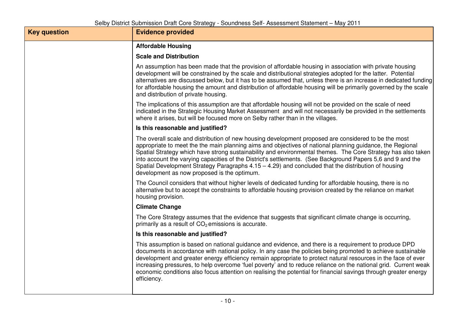| <b>Key question</b> | <b>Evidence provided</b>                                                                                                                                                                                                                                                                                                                                                                                                                                                                                                                                                                                  |
|---------------------|-----------------------------------------------------------------------------------------------------------------------------------------------------------------------------------------------------------------------------------------------------------------------------------------------------------------------------------------------------------------------------------------------------------------------------------------------------------------------------------------------------------------------------------------------------------------------------------------------------------|
|                     | <b>Affordable Housing</b>                                                                                                                                                                                                                                                                                                                                                                                                                                                                                                                                                                                 |
|                     | <b>Scale and Distribution</b>                                                                                                                                                                                                                                                                                                                                                                                                                                                                                                                                                                             |
|                     | An assumption has been made that the provision of affordable housing in association with private housing<br>development will be constrained by the scale and distributional strategies adopted for the latter. Potential<br>alternatives are discussed below, but it has to be assumed that, unless there is an increase in dedicated funding<br>for affordable housing the amount and distribution of affordable housing will be primarily governed by the scale<br>and distribution of private housing.                                                                                                 |
|                     | The implications of this assumption are that affordable housing will not be provided on the scale of need<br>indicated in the Strategic Housing Market Assessment and will not necessarily be provided in the settlements<br>where it arises, but will be focused more on Selby rather than in the villages.                                                                                                                                                                                                                                                                                              |
|                     | Is this reasonable and justified?                                                                                                                                                                                                                                                                                                                                                                                                                                                                                                                                                                         |
|                     | The overall scale and distribution of new housing development proposed are considered to be the most<br>appropriate to meet the the main planning aims and objectives of national planning guidance, the Regional<br>Spatial Strategy which have strong sustainability and environmental themes. The Core Strategy has also taken<br>into account the varying capacities of the District's settlements. (See Background Papers 5,6 and 9 and the<br>Spatial Development Strategy Paragraphs $4.15 - 4.29$ ) and concluded that the distribution of housing<br>development as now proposed is the optimum. |
|                     | The Council considers that without higher levels of dedicated funding for affordable housing, there is no<br>alternative but to accept the constraints to affordable housing provision created by the reliance on market<br>housing provision.                                                                                                                                                                                                                                                                                                                                                            |
|                     | <b>Climate Change</b>                                                                                                                                                                                                                                                                                                                                                                                                                                                                                                                                                                                     |
|                     | The Core Strategy assumes that the evidence that suggests that significant climate change is occurring,<br>primarily as a result of $CO2$ emissions is accurate.                                                                                                                                                                                                                                                                                                                                                                                                                                          |
|                     | Is this reasonable and justified?                                                                                                                                                                                                                                                                                                                                                                                                                                                                                                                                                                         |
|                     | This assumption is based on national guidance and evidence, and there is a requirement to produce DPD<br>documents in accordance with national policy. In any case the policies being promoted to achieve sustainable<br>development and greater energy efficiency remain appropriate to protect natural resources in the face of ever<br>increasing pressures, to help overcome 'fuel poverty' and to reduce reliance on the national grid. Current weak<br>economic conditions also focus attention on realising the potential for financial savings through greater energy<br>efficiency.              |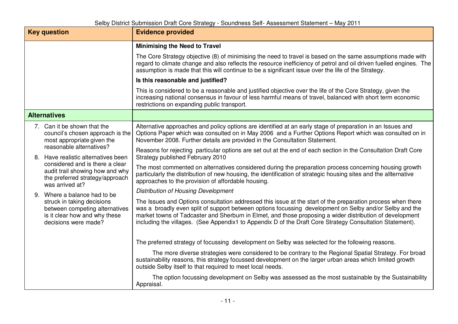|                     | <b>Key question</b>                                                                                                                                                                         | <b>Evidence provided</b>                                                                                                                                                                                                                                                                                                                                                                                                                       |
|---------------------|---------------------------------------------------------------------------------------------------------------------------------------------------------------------------------------------|------------------------------------------------------------------------------------------------------------------------------------------------------------------------------------------------------------------------------------------------------------------------------------------------------------------------------------------------------------------------------------------------------------------------------------------------|
|                     |                                                                                                                                                                                             | <b>Minimising the Need to Travel</b>                                                                                                                                                                                                                                                                                                                                                                                                           |
|                     |                                                                                                                                                                                             | The Core Strategy objective (8) of minimising the need to travel is based on the same assumptions made with<br>regard to climate change and also reflects the resource inefficiency of petrol and oil driven fuelled engines. The<br>assumption is made that this will continue to be a significant issue over the life of the Strategy.                                                                                                       |
|                     |                                                                                                                                                                                             | Is this reasonable and justified?                                                                                                                                                                                                                                                                                                                                                                                                              |
|                     |                                                                                                                                                                                             | This is considered to be a reasonable and justified objective over the life of the Core Strategy, given the<br>increasing national consensus in favour of less harmful means of travel, balanced with short term economic<br>restrictions on expanding public transport.                                                                                                                                                                       |
| <b>Alternatives</b> |                                                                                                                                                                                             |                                                                                                                                                                                                                                                                                                                                                                                                                                                |
|                     | 7. Can it be shown that the<br>council's chosen approach is the<br>most appropriate given the                                                                                               | Alternative approaches and policy options are identified at an early stage of preparation in an Issues and<br>Options Paper which was consulted on in May 2006 and a Further Options Report which was consulted on in<br>November 2008. Further details are provided in the Consultation Statement.                                                                                                                                            |
|                     | reasonable alternatives?<br>8. Have realistic alternatives been<br>considered and is there a clear<br>audit trail showing how and why<br>the preferred strategy/approach<br>was arrived at? | Reasons for rejecting particular options are set out at the end of each section in the Consultation Draft Core<br>Strategy published February 2010                                                                                                                                                                                                                                                                                             |
|                     |                                                                                                                                                                                             | The most commented on alternatives considered during the preparation process concerning housing growth<br>particularly the distribution of new housing, the identification of strategic housing sites and the allternative<br>approaches to the provision of affordable housing.                                                                                                                                                               |
|                     | 9. Where a balance had to be<br>struck in taking decisions<br>between competing alternatives<br>is it clear how and why these<br>decisions were made?                                       | <b>Distribution of Housing Development</b>                                                                                                                                                                                                                                                                                                                                                                                                     |
|                     |                                                                                                                                                                                             | The Issues and Options consultation addressed this issue at the start of the preparation process when there<br>was a broadly even split of support between options focussing development on Selby and/or Selby and the<br>market towns of Tadcaster and Sherburn in Elmet, and those proposing a wider distribution of development<br>including the villages. (See Appendix1 to Appendix D of the Draft Core Strategy Consultation Statement). |
|                     |                                                                                                                                                                                             | The preferred strategy of focussing development on Selby was selected for the following reasons.                                                                                                                                                                                                                                                                                                                                               |
|                     |                                                                                                                                                                                             | The more diverse strategies were considered to be contrary to the Regional Spatial Strategy. For broad<br>sustainability reasons, this strategy focussed development on the larger urban areas which limited growth<br>outside Selby itself to that required to meet local needs.                                                                                                                                                              |
|                     |                                                                                                                                                                                             | The option focussing development on Selby was assessed as the most sustainable by the Sustainability<br>Appraisal.                                                                                                                                                                                                                                                                                                                             |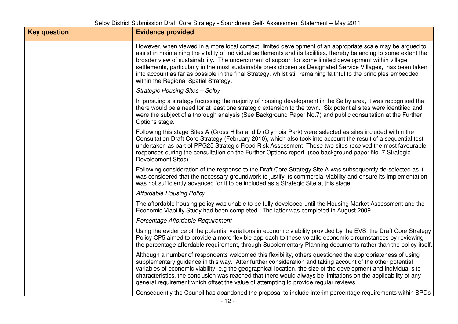| <b>Key question</b> | <b>Evidence provided</b>                                                                                                                                                                                                                                                                                                                                                                                                                                                                                                                                                                                                     |
|---------------------|------------------------------------------------------------------------------------------------------------------------------------------------------------------------------------------------------------------------------------------------------------------------------------------------------------------------------------------------------------------------------------------------------------------------------------------------------------------------------------------------------------------------------------------------------------------------------------------------------------------------------|
|                     | However, when viewed in a more local context, limited development of an appropriate scale may be argued to<br>assist in maintaining the vitality of individual settlements and its facilities, thereby balancing to some extent the<br>broader view of sustainability. The undercurrent of support for some limited development within village<br>settlements, particularly in the most sustainable ones chosen as Designated Service Villages, has been taken<br>into account as far as possible in the final Strategy, whilst still remaining faithful to the principles embedded<br>within the Regional Spatial Strategy. |
|                     | <b>Strategic Housing Sites - Selby</b>                                                                                                                                                                                                                                                                                                                                                                                                                                                                                                                                                                                       |
|                     | In pursuing a strategy focussing the majority of housing development in the Selby area, it was recognised that<br>there would be a need for at least one strategic extension to the town. Six potential sites were identified and<br>were the subject of a thorough analysis (See Background Paper No.7) and public consultation at the Further<br>Options stage.                                                                                                                                                                                                                                                            |
|                     | Following this stage Sites A (Cross Hills) and D (Olympia Park) were selected as sites included within the<br>Consultation Draft Core Strategy (February 2010), which also took into account the result of a sequential test<br>undertaken as part of PPG25 Strategic Flood Risk Assessment These two sites received the most favourable<br>responses during the consultation on the Further Options report. (see background paper No. 7 Strategic<br>Development Sites)                                                                                                                                                     |
|                     | Following consideration of the response to the Draft Core Strategy Site A was subsequently de-selected as it<br>was considered that the necessary groundwork to justify its commercial viability and ensure its implementation<br>was not sufficiently advanced for it to be included as a Strategic Site at this stage.                                                                                                                                                                                                                                                                                                     |
|                     | <b>Affordable Housing Policy</b>                                                                                                                                                                                                                                                                                                                                                                                                                                                                                                                                                                                             |
|                     | The affordable housing policy was unable to be fully developed until the Housing Market Assessment and the<br>Economic Viability Study had been completed. The latter was completed in August 2009.                                                                                                                                                                                                                                                                                                                                                                                                                          |
|                     | Percentage Affordable Requirement                                                                                                                                                                                                                                                                                                                                                                                                                                                                                                                                                                                            |
|                     | Using the evidence of the potential variations in economic viability provided by the EVS, the Draft Core Strategy<br>Policy CP5 aimed to provide a more flexible approach to these volatile economic circumstances by reviewing<br>the percentage affordable requirement, through Supplementary Planning documents rather than the policy itself.                                                                                                                                                                                                                                                                            |
|                     | Although a number of respondents welcomed this flexibility, others questioned the appropriateness of using<br>supplementary guidance in this way. After further consideration and taking account of the other potential<br>variables of economic viability, e.g the geographical location, the size of the development and individual site<br>characteristics, the conclusion was reached that there would always be limitations on the applicability of any<br>general requirement which offset the value of attempting to provide regular reviews.                                                                         |
|                     | Consequently the Council has abandoned the proposal to include interim percentage requirements within SPDs                                                                                                                                                                                                                                                                                                                                                                                                                                                                                                                   |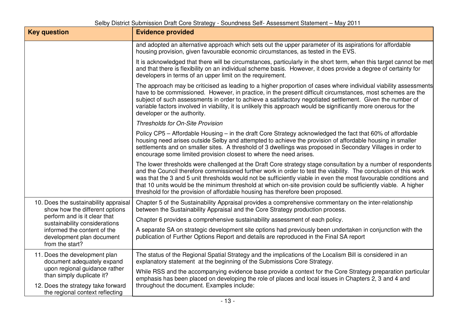| <b>Key question</b>                                                                                                                                                                                                     | <b>Evidence provided</b>                                                                                                                                                                                                                                                                                                                                                                                                                                                                                                                                 |
|-------------------------------------------------------------------------------------------------------------------------------------------------------------------------------------------------------------------------|----------------------------------------------------------------------------------------------------------------------------------------------------------------------------------------------------------------------------------------------------------------------------------------------------------------------------------------------------------------------------------------------------------------------------------------------------------------------------------------------------------------------------------------------------------|
|                                                                                                                                                                                                                         | and adopted an alternative approach which sets out the upper parameter of its aspirations for affordable<br>housing provision, given favourable economic circumstances, as tested in the EVS.                                                                                                                                                                                                                                                                                                                                                            |
|                                                                                                                                                                                                                         | It is acknowledged that there will be circumstances, particularly in the short term, when this target cannot be met<br>and that there is flexibility on an individual scheme basis. However, it does provide a degree of certainty for<br>developers in terms of an upper limit on the requirement.                                                                                                                                                                                                                                                      |
|                                                                                                                                                                                                                         | The approach may be criticised as leading to a higher proportion of cases where individual viability assessments<br>have to be commissioned. However, in practice, in the present difficult circumstances, most schemes are the<br>subject of such assessments in order to achieve a satisfactory negotiated settlement. Given the number of<br>variable factors involved in viability, it is unlikely this approach would be significantly more onerous for the<br>developer or the authority.                                                          |
|                                                                                                                                                                                                                         | Thresholds for On-Site Provision                                                                                                                                                                                                                                                                                                                                                                                                                                                                                                                         |
|                                                                                                                                                                                                                         | Policy CP5 - Affordable Housing - in the draft Core Strategy acknowledged the fact that 60% of affordable<br>housing need arises outside Selby and attempted to achieve the provision of affordable housing in smaller<br>settlements and on smaller sites. A threshold of 3 dwellings was proposed in Secondary Villages in order to<br>encourage some limited provision closest to where the need arises.                                                                                                                                              |
|                                                                                                                                                                                                                         | The lower thresholds were challenged at the Draft Core strategy stage consultation by a number of respondents<br>and the Council therefore commissioned further work in order to test the viability. The conclusion of this work<br>was that the 3 and 5 unit thresholds would not be sufficiently viable in even the most favourable conditions and<br>that 10 units would be the minimum threshold at which on-site provision could be sufficiently viable. A higher<br>threshold for the provision of affordable housing has therefore been proposed. |
| 10. Does the sustainability appraisal<br>show how the different options<br>perform and is it clear that<br>sustainability considerations<br>informed the content of the<br>development plan document<br>from the start? | Chapter 5 of the Sustainability Appraisal provides a comprehensive commentary on the inter-relationship<br>between the Sustainability Appraisal and the Core Strategy production process.                                                                                                                                                                                                                                                                                                                                                                |
|                                                                                                                                                                                                                         | Chapter 6 provides a comprehensive sustainability assessment of each policy.                                                                                                                                                                                                                                                                                                                                                                                                                                                                             |
|                                                                                                                                                                                                                         | A separate SA on strategic development site options had previously been undertaken in conjunction with the<br>publication of Further Options Report and details are reproduced in the Final SA report                                                                                                                                                                                                                                                                                                                                                    |
| 11. Does the development plan<br>document adequately expand<br>upon regional guidance rather<br>than simply duplicate it?                                                                                               | The status of the Regional Spatial Strategy and the implications of the Localism Bill is considered in an<br>explanatory statement at the beginning of the Submissions Core Strategy.                                                                                                                                                                                                                                                                                                                                                                    |
|                                                                                                                                                                                                                         | While RSS and the accompanying evidence base provide a context for the Core Strategy preparation particular<br>emphasis has been placed on developing the role of places and local issues in Chapters 2, 3 and 4 and<br>throughout the document. Examples include:                                                                                                                                                                                                                                                                                       |
| 12. Does the strategy take forward<br>the regional context reflecting                                                                                                                                                   |                                                                                                                                                                                                                                                                                                                                                                                                                                                                                                                                                          |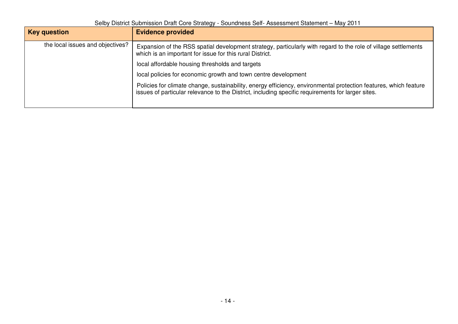Selby District Submission Draft Core Strategy - Soundness Self- Assessment Statement – May 2011

| <b>Key question</b>              | <b>Evidence provided</b>                                                                                                                                                                                              |
|----------------------------------|-----------------------------------------------------------------------------------------------------------------------------------------------------------------------------------------------------------------------|
| the local issues and objectives? | Expansion of the RSS spatial development strategy, particularly with regard to the role of village settlements<br>which is an important for issue for this rural District.                                            |
|                                  | local affordable housing thresholds and targets                                                                                                                                                                       |
|                                  | local policies for economic growth and town centre development                                                                                                                                                        |
|                                  | Policies for climate change, sustainability, energy efficiency, environmental protection features, which feature<br>issues of particular relevance to the District, including specific requirements for larger sites. |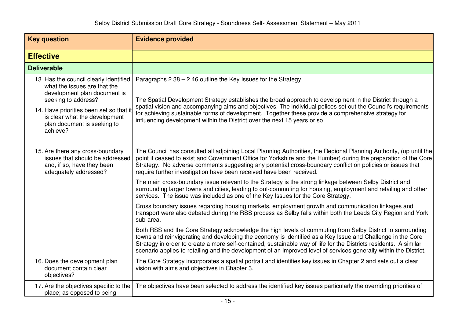| <b>Key question</b>                                                                                                                                                                                                                                  | <b>Evidence provided</b>                                                                                                                                                                                                                                                                                                                                                                                                                                                                                                              |
|------------------------------------------------------------------------------------------------------------------------------------------------------------------------------------------------------------------------------------------------------|---------------------------------------------------------------------------------------------------------------------------------------------------------------------------------------------------------------------------------------------------------------------------------------------------------------------------------------------------------------------------------------------------------------------------------------------------------------------------------------------------------------------------------------|
| <b>Effective</b>                                                                                                                                                                                                                                     |                                                                                                                                                                                                                                                                                                                                                                                                                                                                                                                                       |
| <b>Deliverable</b>                                                                                                                                                                                                                                   |                                                                                                                                                                                                                                                                                                                                                                                                                                                                                                                                       |
| 13. Has the council clearly identified<br>what the issues are that the<br>development plan document is<br>seeking to address?<br>14. Have priorities been set so that it<br>is clear what the development<br>plan document is seeking to<br>achieve? | Paragraphs 2.38 - 2.46 outline the Key Issues for the Strategy.<br>The Spatial Development Strategy establishes the broad approach to development in the District through a<br>spatial vision and accompanying aims and objectives. The individual polices set out the Council's requirements<br>for achieving sustainable forms of development. Together these provide a comprehensive strategy for<br>influencing development within the District over the next 15 years or so                                                      |
| 15. Are there any cross-boundary<br>issues that should be addressed<br>and, if so, have they been<br>adequately addressed?                                                                                                                           | The Council has consulted all adjoining Local Planning Authorities, the Regional Planning Authority, (up until the<br>point it ceased to exist and Government Office for Yorkshire and the Humber) during the preparation of the Core<br>Strategy. No adverse comments suggesting any potential cross-boundary conflict on policies or issues that<br>require further investigation have been received have been received.<br>The main cross-boundary issue relevant to the Strategy is the strong linkage between Selby District and |
|                                                                                                                                                                                                                                                      | surrounding larger towns and cities, leading to out-commuting for housing, employment and retailing and other<br>services. The issue was included as one of the Key Issues for the Core Strategy.                                                                                                                                                                                                                                                                                                                                     |
|                                                                                                                                                                                                                                                      | Cross boundary issues regarding housing markets, employment growth and communication linkages and<br>transport were also debated during the RSS process as Selby falls within both the Leeds City Region and York<br>sub-area.                                                                                                                                                                                                                                                                                                        |
|                                                                                                                                                                                                                                                      | Both RSS and the Core Strategy acknowledge the high levels of commuting from Selby District to surrounding<br>towns and reinvigorating and developing the economy is identified as a Key Issue and Challenge in the Core<br>Strategy in order to create a more self-contained, sustainable way of life for the Districts residents. A similar<br>scenario applies to retailing and the development of an improved level of services generally within the District.                                                                    |
| 16. Does the development plan<br>document contain clear<br>objectives?                                                                                                                                                                               | The Core Strategy incorporates a spatial portrait and identifies key issues in Chapter 2 and sets out a clear<br>vision with aims and objectives in Chapter 3.                                                                                                                                                                                                                                                                                                                                                                        |
| 17. Are the objectives specific to the<br>place; as opposed to being                                                                                                                                                                                 | The objectives have been selected to address the identified key issues particularly the overriding priorities of                                                                                                                                                                                                                                                                                                                                                                                                                      |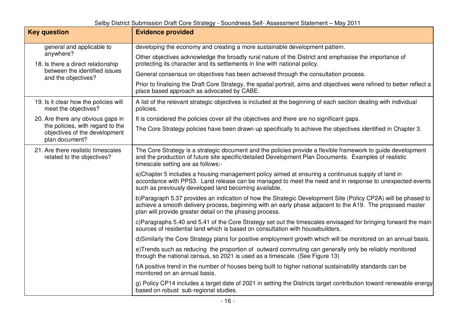| <b>Key question</b>                                                                 | <b>Evidence provided</b>                                                                                                                                                                                                                                                               |
|-------------------------------------------------------------------------------------|----------------------------------------------------------------------------------------------------------------------------------------------------------------------------------------------------------------------------------------------------------------------------------------|
| general and applicable to<br>anywhere?<br>18. Is there a direct relationship        | developing the economy and creating a more sustainable development pattern.                                                                                                                                                                                                            |
|                                                                                     | Other objectives acknowledge the broadly rural nature of the District and emphasise the importance of<br>protecting its character and its settlements in line with national policy.                                                                                                    |
| between the identified issues<br>and the objectives?                                | General consensus on objectives has been achieved through the consultation process.                                                                                                                                                                                                    |
|                                                                                     | Prior to finalising the Draft Core Strategy, the spatial portrait, aims and objectives were refined to better reflect a<br>place based approach as advocated by CABE.                                                                                                                  |
| 19. Is it clear how the policies will<br>meet the objectives?                       | A list of the relevant strategic objectives is included at the beginning of each section dealing with individual<br>policies.                                                                                                                                                          |
| 20. Are there any obvious gaps in                                                   | It is considered the policies cover all the objectives and there are no significant gaps.                                                                                                                                                                                              |
| the policies, with regard to the<br>objectives of the development<br>plan document? | The Core Strategy policies have been drawn up specifically to achieve the objectives identified in Chapter 3.                                                                                                                                                                          |
| 21. Are there realistic timescales<br>related to the objectives?                    | The Core Strategy is a strategic document and the policies provide a flexible framework to guide development<br>and the production of future site specific/detailed Development Plan Documents. Examples of realistic<br>timescale setting are as follows:-                            |
|                                                                                     | a)Chapter 5 includes a housing management policy aimed at ensuring a continuous supply of land in<br>accordance with PPS3. Land release can be managed to meet the need and in response to unexpected events<br>such as previously developed land becoming available.                  |
|                                                                                     | b)Paragraph 5.37 provides an indication of how the Strategic Development Site (Policy CP2A) will be phased to<br>achieve a smooth delivery process, beginning with an early phase adjacent to the A19. The proposed master<br>plan will provide greater detail on the phasing process. |
|                                                                                     | c)Paragraphs 5.40 and 5.41 of the Core Strategy set out the timescales envisaged for bringing forward the main<br>sources of residential land which is based on consultation with housebuilders.                                                                                       |
|                                                                                     | d)Similarly the Core Strategy plans for positive employment growth which will be monitored on an annual basis.                                                                                                                                                                         |
|                                                                                     | e)Trends such as reducing the proportion of outward commuting can generally only be reliably monitored<br>through the national census, so 2021 is used as a timescale. (See Figure 13)                                                                                                 |
|                                                                                     | f)A positive trend in the number of houses being built to higher national sustainability standards can be<br>monitored on an annual basis.                                                                                                                                             |
|                                                                                     | g) Policy CP14 includes a target date of 2021 in setting the Districts target contribution toward renewable energy<br>based on robust sub-regional studies.                                                                                                                            |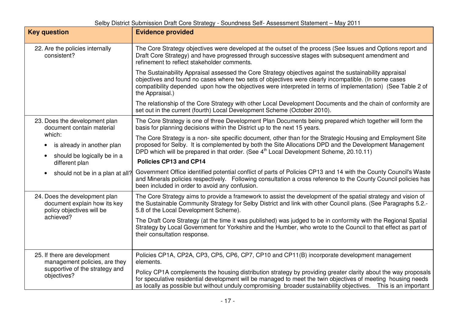| <b>Key question</b>                                                                                            | <b>Evidence provided</b>                                                                                                                                                                                                                                                                                                                          |
|----------------------------------------------------------------------------------------------------------------|---------------------------------------------------------------------------------------------------------------------------------------------------------------------------------------------------------------------------------------------------------------------------------------------------------------------------------------------------|
| 22. Are the policies internally<br>consistent?                                                                 | The Core Strategy objectives were developed at the outset of the process (See Issues and Options report and<br>Draft Core Strategy) and have progressed through successive stages with subsequent amendment and<br>refinement to reflect stakeholder comments.                                                                                    |
|                                                                                                                | The Sustainability Appraisal assessed the Core Strategy objectives against the sustainability appraisal<br>objectives and found no cases where two sets of objectives were clearly incompatible. (In some cases<br>compatibility depended upon how the objectives were interpreted in terms of implementation) (See Table 2 of<br>the Appraisal.) |
|                                                                                                                | The relationship of the Core Strategy with other Local Development Documents and the chain of conformity are<br>set out in the current (fourth) Local Development Scheme (October 2010).                                                                                                                                                          |
| 23. Does the development plan<br>document contain material                                                     | The Core Strategy is one of three Development Plan Documents being prepared which together will form the<br>basis for planning decisions within the District up to the next 15 years.                                                                                                                                                             |
| which:<br>is already in another plan<br>should be logically be in a<br>$\bullet$                               | The Core Strategy is a non- site specific document, other than for the Strategic Housing and Employment Site<br>proposed for Selby. It is complemented by both the Site Allocations DPD and the Development Management<br>DPD which will be prepared in that order. (See 4 <sup>th</sup> Local Development Scheme, 20.10.11)                      |
| different plan                                                                                                 | Policies CP13 and CP14                                                                                                                                                                                                                                                                                                                            |
| should not be in a plan at all?<br>$\bullet$                                                                   | Government Office identified potential conflict of parts of Policies CP13 and 14 with the County Council's Waste<br>and Minerals policies respectively. Following consultation a cross reference to the County Council policies has<br>been included in order to avoid any confusion.                                                             |
| 24. Does the development plan<br>document explain how its key<br>policy objectives will be<br>achieved?        | The Core Strategy aims to provide a framework to assist the development of the spatial strategy and vision of<br>the Sustainable Community Strategy for Selby District and link with other Council plans. (See Paragraphs 5.2.-<br>5.8 of the Local Development Scheme).                                                                          |
|                                                                                                                | The Draft Core Strategy (at the time it was published) was judged to be in conformity with the Regional Spatial<br>Strategy by Local Government for Yorkshire and the Humber, who wrote to the Council to that effect as part of<br>their consultation response.                                                                                  |
| 25. If there are development<br>management policies, are they<br>supportive of the strategy and<br>objectives? | Policies CP1A, CP2A, CP3, CP5, CP6, CP7, CP10 and CP11(B) incorporate development management<br>elements.                                                                                                                                                                                                                                         |
|                                                                                                                | Policy CP1A complements the housing distribution strategy by providing greater clarity about the way proposals<br>for speculative residential development will be managed to meet the twin objectives of meeting housing needs<br>as locally as possible but without unduly compromising broader sustainability objectives.  This is an important |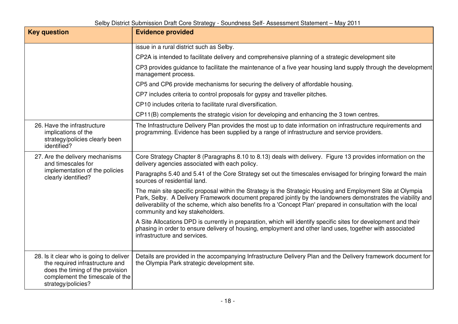| <b>Key question</b>                                                                                                                                                     | <b>Evidence provided</b>                                                                                                                                                                                                                                                                                                                                                         |
|-------------------------------------------------------------------------------------------------------------------------------------------------------------------------|----------------------------------------------------------------------------------------------------------------------------------------------------------------------------------------------------------------------------------------------------------------------------------------------------------------------------------------------------------------------------------|
|                                                                                                                                                                         | issue in a rural district such as Selby.                                                                                                                                                                                                                                                                                                                                         |
|                                                                                                                                                                         | CP2A is intended to facilitate delivery and comprehensive planning of a strategic development site                                                                                                                                                                                                                                                                               |
|                                                                                                                                                                         | CP3 provides guidance to facilitate the maintenance of a five year housing land supply through the development<br>management process.                                                                                                                                                                                                                                            |
|                                                                                                                                                                         | CP5 and CP6 provide mechanisms for securing the delivery of affordable housing.                                                                                                                                                                                                                                                                                                  |
|                                                                                                                                                                         | CP7 includes criteria to control proposals for gypsy and traveller pitches.                                                                                                                                                                                                                                                                                                      |
|                                                                                                                                                                         | CP10 includes criteria to facilitate rural diversification.                                                                                                                                                                                                                                                                                                                      |
|                                                                                                                                                                         | CP11(B) complements the strategic vision for developing and enhancing the 3 town centres.                                                                                                                                                                                                                                                                                        |
| 26. Have the infrastructure<br>implications of the<br>strategy/policies clearly been<br>identified?                                                                     | The Infrastructure Delivery Plan provides the most up to date information on infrastructure requirements and<br>programming. Evidence has been supplied by a range of infrastructure and service providers.                                                                                                                                                                      |
| 27. Are the delivery mechanisms<br>and timescales for                                                                                                                   | Core Strategy Chapter 8 (Paragraphs 8.10 to 8.13) deals with delivery. Figure 13 provides information on the<br>delivery agencies associated with each policy.                                                                                                                                                                                                                   |
| implementation of the policies<br>clearly identified?                                                                                                                   | Paragraphs 5.40 and 5.41 of the Core Strategy set out the timescales envisaged for bringing forward the main<br>sources of residential land.                                                                                                                                                                                                                                     |
|                                                                                                                                                                         | The main site specific proposal within the Strategy is the Strategic Housing and Employment Site at Olympia<br>Park, Selby. A Delivery Framework document prepared jointly by the landowners demonstrates the viability and<br>deliverability of the scheme, which also benefits fro a 'Concept Plan' prepared in consultation with the local<br>community and key stakeholders. |
|                                                                                                                                                                         | A Site Allocations DPD is currently in preparation, which will identify specific sites for development and their<br>phasing in order to ensure delivery of housing, employment and other land uses, together with associated<br>infrastructure and services.                                                                                                                     |
| 28. Is it clear who is going to deliver<br>the required infrastructure and<br>does the timing of the provision<br>complement the timescale of the<br>strategy/policies? | Details are provided in the accompanying Infrastructure Delivery Plan and the Delivery framework document for<br>the Olympia Park strategic development site.                                                                                                                                                                                                                    |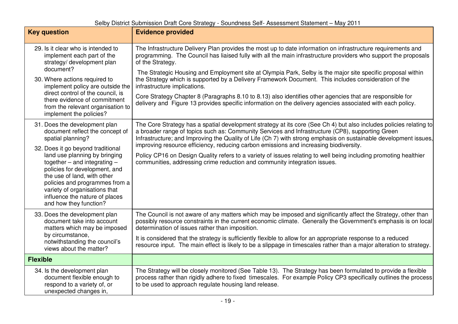| <b>Key question</b>                                                                                                                                                                                                                                                                                                                                                                            | <b>Evidence provided</b>                                                                                                                                                                                                                                                                                                                                                                                                                                                                                                                                                                                                                                                                                                              |
|------------------------------------------------------------------------------------------------------------------------------------------------------------------------------------------------------------------------------------------------------------------------------------------------------------------------------------------------------------------------------------------------|---------------------------------------------------------------------------------------------------------------------------------------------------------------------------------------------------------------------------------------------------------------------------------------------------------------------------------------------------------------------------------------------------------------------------------------------------------------------------------------------------------------------------------------------------------------------------------------------------------------------------------------------------------------------------------------------------------------------------------------|
| 29. Is it clear who is intended to<br>implement each part of the<br>strategy/ development plan<br>document?<br>30. Where actions required to<br>implement policy are outside the<br>direct control of the council, is<br>there evidence of commitment<br>from the relevant organisation to<br>implement the policies?                                                                          | The Infrastructure Delivery Plan provides the most up to date information on infrastructure requirements and<br>programming. The Council has liaised fully with all the main infrastructure providers who support the proposals<br>of the Strategy.<br>The Strategic Housing and Employment site at Olympia Park, Selby is the major site specific proposal within<br>the Strategy which is supported by a Delivery Framework Document. This includes consideration of the<br>infrastructure implications.<br>Core Strategy Chapter 8 (Paragraphs 8.10 to 8.13) also identifies other agencies that are responsible for<br>delivery and Figure 13 provides specific information on the delivery agencies associated with each policy. |
| 31. Does the development plan<br>document reflect the concept of<br>spatial planning?<br>32. Does it go beyond traditional<br>land use planning by bringing<br>together $-$ and integrating $-$<br>policies for development, and<br>the use of land, with other<br>policies and programmes from a<br>variety of organisations that<br>influence the nature of places<br>and how they function? | The Core Strategy has a spatial development strategy at its core (See Ch 4) but also includes policies relating to<br>a broader range of topics such as: Community Services and Infrastructure (CP8), supporting Green<br>Infrastructure; and Improving the Quality of Life (Ch 7) with strong emphasis on sustainable development issues,<br>improving resource efficiency, reducing carbon emissions and increasing biodiversity.<br>Policy CP16 on Design Quality refers to a variety of issues relating to well being including promoting healthier<br>communities, addressing crime reduction and community integration issues.                                                                                                  |
| 33. Does the development plan<br>document take into account<br>matters which may be imposed<br>by circumstance,<br>notwithstanding the council's<br>views about the matter?                                                                                                                                                                                                                    | The Council is not aware of any matters which may be imposed and significantly affect the Strategy, other than<br>possibly resource constraints in the current economic climate. Generally the Government's emphasis is on local<br>determination of issues rather than imposition.<br>It is considered that the strategy is sufficiently flexible to allow for an appropriate response to a reduced<br>resource input. The main effect is likely to be a slippage in timescales rather than a major alteration to strategy.                                                                                                                                                                                                          |
| <b>Flexible</b>                                                                                                                                                                                                                                                                                                                                                                                |                                                                                                                                                                                                                                                                                                                                                                                                                                                                                                                                                                                                                                                                                                                                       |
| 34. Is the development plan<br>document flexible enough to<br>respond to a variety of, or<br>unexpected changes in,                                                                                                                                                                                                                                                                            | The Strategy will be closely monitored (See Table 13). The Strategy has been formulated to provide a flexible<br>process rather than rigidly adhere to fixed timescales. For example Policy CP3 specifically outlines the process<br>to be used to approach regulate housing land release.                                                                                                                                                                                                                                                                                                                                                                                                                                            |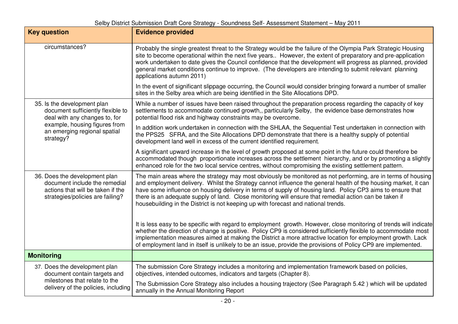| <b>Key question</b>                                                                                                                                                             | <b>Evidence provided</b>                                                                                                                                                                                                                                                                                                                                                                                                                                                                                                                     |
|---------------------------------------------------------------------------------------------------------------------------------------------------------------------------------|----------------------------------------------------------------------------------------------------------------------------------------------------------------------------------------------------------------------------------------------------------------------------------------------------------------------------------------------------------------------------------------------------------------------------------------------------------------------------------------------------------------------------------------------|
| circumstances?                                                                                                                                                                  | Probably the single greatest threat to the Strategy would be the failure of the Olympia Park Strategic Housing<br>site to become operational within the next five years However, the extent of preparatory and pre-application<br>work undertaken to date gives the Council confidence that the development will progress as planned, provided<br>general market conditions continue to improve. (The developers are intending to submit relevant planning<br>applications autumn 2011)                                                      |
|                                                                                                                                                                                 | In the event of significant slippage occurring, the Council would consider bringing forward a number of smaller<br>sites in the Selby area which are being identified in the Site Allocations DPD.                                                                                                                                                                                                                                                                                                                                           |
| 35. Is the development plan<br>document sufficiently flexible to<br>deal with any changes to, for<br>example, housing figures from<br>an emerging regional spatial<br>strategy? | While a number of issues have been raised throughout the preparation process regarding the capacity of key<br>settlements to accommodate continued growth,, particularly Selby, the evidence base demonstrates how<br>potential flood risk and highway constraints may be overcome.                                                                                                                                                                                                                                                          |
|                                                                                                                                                                                 | In addition work undertaken in connection with the SHLAA, the Sequential Test undertaken in connection with<br>the PPS25 SFRA, and the Site Allocations DPD demonstrate that there is a healthy supply of potential<br>development land well in excess of the current identified requirement.                                                                                                                                                                                                                                                |
|                                                                                                                                                                                 | A significant upward increase in the level of growth proposed at some point in the future could therefore be<br>accommodated though proportionate increases across the settlement hierarchy, and or by promoting a slightly<br>enhanced role for the two local service centres, without compromising the existing settlement pattern.                                                                                                                                                                                                        |
| 36. Does the development plan<br>document include the remedial<br>actions that will be taken if the<br>strategies/policies are failing?                                         | The main areas where the strategy may most obviously be monitored as not performing, are in terms of housing<br>and employment delivery. Whilst the Strategy cannot influence the general health of the housing market, it can<br>have some influence on housing delivery in terms of supply of housing land. Policy CP3 aims to ensure that<br>there is an adequate supply of land. Close monitoring will ensure that remedial action can be taken if<br>housebuilding in the District is not keeping up with forecast and national trends. |
|                                                                                                                                                                                 | It is less easy to be specific with regard to employment growth. However, close monitoring of trends will indicate<br>whether the direction of change is positive. Policy CP9 is considered sufficiently flexible to accommodate most<br>implementation measures aimed at making the District a more attractive location for employment growth. Lack<br>of employment land in itself is unlikely to be an issue, provide the provisions of Policy CP9 are implemented.                                                                       |
| <b>Monitoring</b>                                                                                                                                                               |                                                                                                                                                                                                                                                                                                                                                                                                                                                                                                                                              |
| 37. Does the development plan<br>document contain targets and<br>milestones that relate to the<br>delivery of the policies, including                                           | The submission Core Strategy includes a monitoring and implementation framework based on policies,<br>objectives, intended outcomes, indicators and targets (Chapter 8).                                                                                                                                                                                                                                                                                                                                                                     |
|                                                                                                                                                                                 | The Submission Core Strategy also includes a housing trajectory (See Paragraph 5.42) which will be updated<br>annually in the Annual Monitoring Report                                                                                                                                                                                                                                                                                                                                                                                       |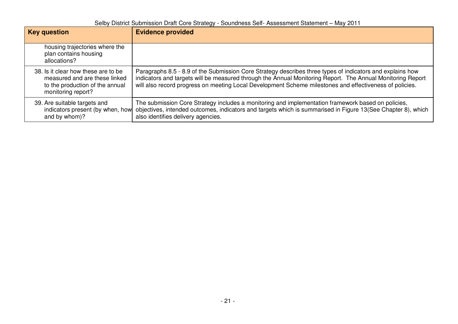| <b>Key question</b>                                                                                                           | <b>Evidence provided</b>                                                                                                                                                                                                                                                                                                           |
|-------------------------------------------------------------------------------------------------------------------------------|------------------------------------------------------------------------------------------------------------------------------------------------------------------------------------------------------------------------------------------------------------------------------------------------------------------------------------|
| housing trajectories where the<br>plan contains housing<br>allocations?                                                       |                                                                                                                                                                                                                                                                                                                                    |
| 38. Is it clear how these are to be<br>measured and are these linked<br>to the production of the annual<br>monitoring report? | Paragraphs 8.5 - 8.9 of the Submission Core Strategy describes three types of indicators and explains how<br>indicators and targets will be measured through the Annual Monitoring Report. The Annual Monitoring Report<br>will also record progress on meeting Local Development Scheme milestones and effectiveness of policies. |
| 39. Are suitable targets and<br>indicators present (by when, how<br>and by whom)?                                             | The submission Core Strategy includes a monitoring and implementation framework based on policies,<br>objectives, intended outcomes, indicators and targets which is summarised in Figure 13(See Chapter 8), which<br>also identifies delivery agencies.                                                                           |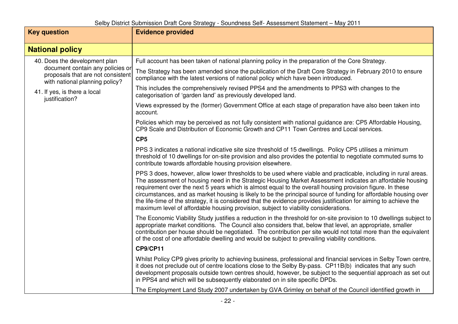| <b>Key question</b>                                                                                                                                                                        | <b>Evidence provided</b>                                                                                                                                                                                                                                                                                                                                                                                                                                                                                                                                                                                                                                                  |
|--------------------------------------------------------------------------------------------------------------------------------------------------------------------------------------------|---------------------------------------------------------------------------------------------------------------------------------------------------------------------------------------------------------------------------------------------------------------------------------------------------------------------------------------------------------------------------------------------------------------------------------------------------------------------------------------------------------------------------------------------------------------------------------------------------------------------------------------------------------------------------|
| <b>National policy</b>                                                                                                                                                                     |                                                                                                                                                                                                                                                                                                                                                                                                                                                                                                                                                                                                                                                                           |
| 40. Does the development plan<br>document contain any policies or<br>proposals that are not consistent<br>with national planning policy?<br>41. If yes, is there a local<br>justification? | Full account has been taken of national planning policy in the preparation of the Core Strategy.                                                                                                                                                                                                                                                                                                                                                                                                                                                                                                                                                                          |
|                                                                                                                                                                                            | The Strategy has been amended since the publication of the Draft Core Strategy in February 2010 to ensure<br>compliance with the latest versions of national policy which have been introduced.                                                                                                                                                                                                                                                                                                                                                                                                                                                                           |
|                                                                                                                                                                                            | This includes the comprehensively revised PPS4 and the amendments to PPS3 with changes to the<br>categorisation of 'garden land' as previously developed land.                                                                                                                                                                                                                                                                                                                                                                                                                                                                                                            |
|                                                                                                                                                                                            | Views expressed by the (former) Government Office at each stage of preparation have also been taken into<br>account.                                                                                                                                                                                                                                                                                                                                                                                                                                                                                                                                                      |
|                                                                                                                                                                                            | Policies which may be perceived as not fully consistent with national guidance are: CP5 Affordable Housing,<br>CP9 Scale and Distribution of Economic Growth and CP11 Town Centres and Local services.                                                                                                                                                                                                                                                                                                                                                                                                                                                                    |
|                                                                                                                                                                                            | CP <sub>5</sub>                                                                                                                                                                                                                                                                                                                                                                                                                                                                                                                                                                                                                                                           |
|                                                                                                                                                                                            | PPS 3 indicates a national indicative site size threshold of 15 dwellings. Policy CP5 utilises a minimum<br>threshold of 10 dwellings for on-site provision and also provides the potential to negotiate commuted sums to<br>contribute towards affordable housing provision elsewhere.                                                                                                                                                                                                                                                                                                                                                                                   |
|                                                                                                                                                                                            | PPS 3 does, however, allow lower thresholds to be used where viable and practicable, including in rural areas.<br>The assessment of housing need in the Strategic Housing Market Assessment indicates an affordable housing<br>requirement over the next 5 years which is almost equal to the overall housing provision figure. In these<br>circumstances, and as market housing is likely to be the principal source of funding for affordable housing over<br>the life-time of the strategy, it is considered that the evidence provides justification for aiming to achieve the<br>maximum level of affordable housing provision, subject to viability considerations. |
|                                                                                                                                                                                            | The Economic Viability Study justifies a reduction in the threshold for on-site provision to 10 dwellings subject to<br>appropriate market conditions. The Council also considers that, below that level, an appropriate, smaller<br>contribution per house should be negotiated. The contribution per site would not total more than the equivalent<br>of the cost of one affordable dwelling and would be subject to prevailing viability conditions.                                                                                                                                                                                                                   |
|                                                                                                                                                                                            | <b>CP9/CP11</b>                                                                                                                                                                                                                                                                                                                                                                                                                                                                                                                                                                                                                                                           |
|                                                                                                                                                                                            | Whilst Policy CP9 gives priority to achieving business, professional and financial services in Selby Town centre,<br>it does not preclude out of centre locations close to the Selby By-pass. CP11B(b) indicates that any such<br>development proposals outside town centres should, however, be subject to the sequential approach as set out<br>in PPS4 and which will be subsequently elaborated on in site specific DPDs.                                                                                                                                                                                                                                             |
|                                                                                                                                                                                            | The Employment Land Study 2007 undertaken by GVA Grimley on behalf of the Council identified growth in                                                                                                                                                                                                                                                                                                                                                                                                                                                                                                                                                                    |